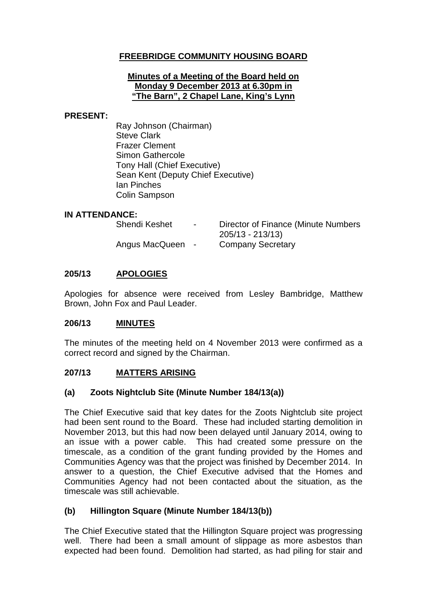## **FREEBRIDGE COMMUNITY HOUSING BOARD**

#### **Minutes of a Meeting of the Board held on Monday 9 December 2013 at 6.30pm in "The Barn", 2 Chapel Lane, King's Lynn**

#### **PRESENT:**

Ray Johnson (Chairman) Steve Clark Frazer Clement Simon Gathercole Tony Hall (Chief Executive) Sean Kent (Deputy Chief Executive) Ian Pinches Colin Sampson

#### **IN ATTENDANCE:**

| Shendi Keshet    | <b>Service</b> | Director of Finance (Minute Numbers<br>205/13 - 213/13) |
|------------------|----------------|---------------------------------------------------------|
| Angus MacQueen - |                | <b>Company Secretary</b>                                |

### **205/13 APOLOGIES**

Apologies for absence were received from Lesley Bambridge, Matthew Brown, John Fox and Paul Leader.

### **206/13 MINUTES**

The minutes of the meeting held on 4 November 2013 were confirmed as a correct record and signed by the Chairman.

### **207/13 MATTERS ARISING**

### **(a) Zoots Nightclub Site (Minute Number 184/13(a))**

The Chief Executive said that key dates for the Zoots Nightclub site project had been sent round to the Board. These had included starting demolition in November 2013, but this had now been delayed until January 2014, owing to an issue with a power cable. This had created some pressure on the timescale, as a condition of the grant funding provided by the Homes and Communities Agency was that the project was finished by December 2014. In answer to a question, the Chief Executive advised that the Homes and Communities Agency had not been contacted about the situation, as the timescale was still achievable.

### **(b) Hillington Square (Minute Number 184/13(b))**

The Chief Executive stated that the Hillington Square project was progressing well. There had been a small amount of slippage as more asbestos than expected had been found. Demolition had started, as had piling for stair and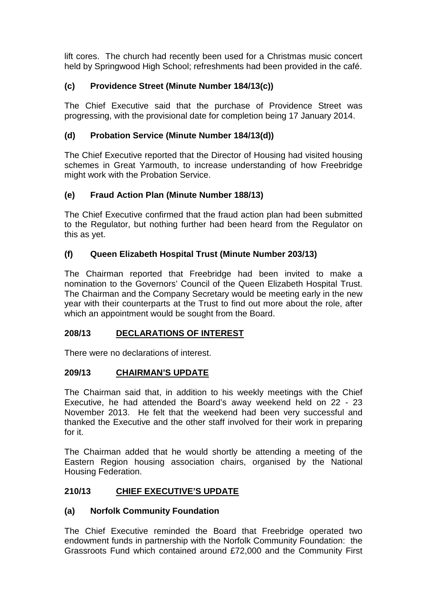lift cores. The church had recently been used for a Christmas music concert held by Springwood High School; refreshments had been provided in the café.

# **(c) Providence Street (Minute Number 184/13(c))**

The Chief Executive said that the purchase of Providence Street was progressing, with the provisional date for completion being 17 January 2014.

# **(d) Probation Service (Minute Number 184/13(d))**

The Chief Executive reported that the Director of Housing had visited housing schemes in Great Yarmouth, to increase understanding of how Freebridge might work with the Probation Service.

## **(e) Fraud Action Plan (Minute Number 188/13)**

The Chief Executive confirmed that the fraud action plan had been submitted to the Regulator, but nothing further had been heard from the Regulator on this as yet.

## **(f) Queen Elizabeth Hospital Trust (Minute Number 203/13)**

The Chairman reported that Freebridge had been invited to make a nomination to the Governors' Council of the Queen Elizabeth Hospital Trust. The Chairman and the Company Secretary would be meeting early in the new year with their counterparts at the Trust to find out more about the role, after which an appointment would be sought from the Board.

## **208/13 DECLARATIONS OF INTEREST**

There were no declarations of interest.

## **209/13 CHAIRMAN'S UPDATE**

The Chairman said that, in addition to his weekly meetings with the Chief Executive, he had attended the Board's away weekend held on 22 - 23 November 2013. He felt that the weekend had been very successful and thanked the Executive and the other staff involved for their work in preparing for it.

The Chairman added that he would shortly be attending a meeting of the Eastern Region housing association chairs, organised by the National Housing Federation.

# **210/13 CHIEF EXECUTIVE'S UPDATE**

## **(a) Norfolk Community Foundation**

The Chief Executive reminded the Board that Freebridge operated two endowment funds in partnership with the Norfolk Community Foundation: the Grassroots Fund which contained around £72,000 and the Community First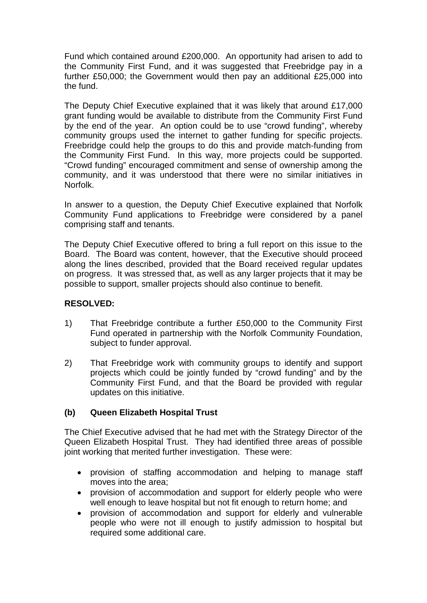Fund which contained around £200,000. An opportunity had arisen to add to the Community First Fund, and it was suggested that Freebridge pay in a further £50,000; the Government would then pay an additional £25,000 into the fund.

The Deputy Chief Executive explained that it was likely that around £17,000 grant funding would be available to distribute from the Community First Fund by the end of the year. An option could be to use "crowd funding", whereby community groups used the internet to gather funding for specific projects. Freebridge could help the groups to do this and provide match-funding from the Community First Fund. In this way, more projects could be supported. "Crowd funding" encouraged commitment and sense of ownership among the community, and it was understood that there were no similar initiatives in Norfolk.

In answer to a question, the Deputy Chief Executive explained that Norfolk Community Fund applications to Freebridge were considered by a panel comprising staff and tenants.

The Deputy Chief Executive offered to bring a full report on this issue to the Board. The Board was content, however, that the Executive should proceed along the lines described, provided that the Board received regular updates on progress. It was stressed that, as well as any larger projects that it may be possible to support, smaller projects should also continue to benefit.

### **RESOLVED:**

- 1) That Freebridge contribute a further £50,000 to the Community First Fund operated in partnership with the Norfolk Community Foundation, subject to funder approval.
- 2) That Freebridge work with community groups to identify and support projects which could be jointly funded by "crowd funding" and by the Community First Fund, and that the Board be provided with regular updates on this initiative.

### **(b) Queen Elizabeth Hospital Trust**

The Chief Executive advised that he had met with the Strategy Director of the Queen Elizabeth Hospital Trust. They had identified three areas of possible joint working that merited further investigation. These were:

- provision of staffing accommodation and helping to manage staff moves into the area;
- provision of accommodation and support for elderly people who were well enough to leave hospital but not fit enough to return home; and
- provision of accommodation and support for elderly and vulnerable people who were not ill enough to justify admission to hospital but required some additional care.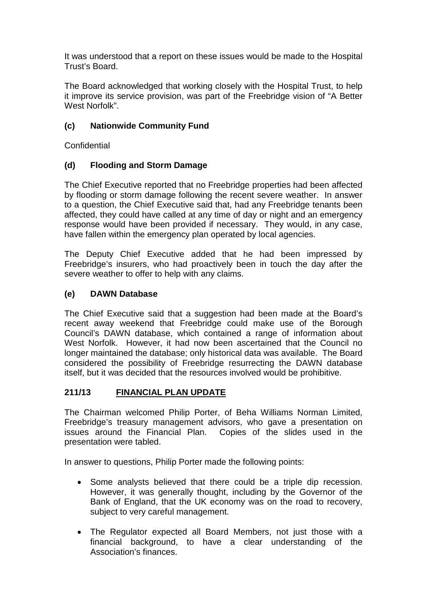It was understood that a report on these issues would be made to the Hospital Trust's Board.

The Board acknowledged that working closely with the Hospital Trust, to help it improve its service provision, was part of the Freebridge vision of "A Better West Norfolk".

## **(c) Nationwide Community Fund**

Confidential

## **(d) Flooding and Storm Damage**

The Chief Executive reported that no Freebridge properties had been affected by flooding or storm damage following the recent severe weather. In answer to a question, the Chief Executive said that, had any Freebridge tenants been affected, they could have called at any time of day or night and an emergency response would have been provided if necessary. They would, in any case, have fallen within the emergency plan operated by local agencies.

The Deputy Chief Executive added that he had been impressed by Freebridge's insurers, who had proactively been in touch the day after the severe weather to offer to help with any claims.

## **(e) DAWN Database**

The Chief Executive said that a suggestion had been made at the Board's recent away weekend that Freebridge could make use of the Borough Council's DAWN database, which contained a range of information about West Norfolk. However, it had now been ascertained that the Council no longer maintained the database; only historical data was available. The Board considered the possibility of Freebridge resurrecting the DAWN database itself, but it was decided that the resources involved would be prohibitive.

## **211/13 FINANCIAL PLAN UPDATE**

The Chairman welcomed Philip Porter, of Beha Williams Norman Limited, Freebridge's treasury management advisors, who gave a presentation on issues around the Financial Plan. Copies of the slides used in the presentation were tabled.

In answer to questions, Philip Porter made the following points:

- Some analysts believed that there could be a triple dip recession. However, it was generally thought, including by the Governor of the Bank of England, that the UK economy was on the road to recovery, subject to very careful management.
- The Regulator expected all Board Members, not just those with a financial background, to have a clear understanding of the Association's finances.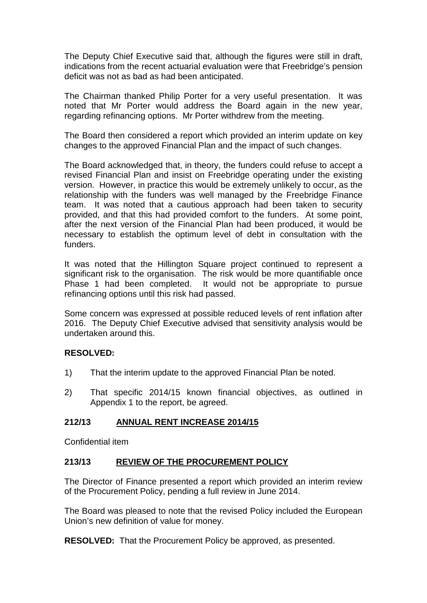The Deputy Chief Executive said that, although the figures were still in draft, indications from the recent actuarial evaluation were that Freebridge's pension deficit was not as bad as had been anticipated.

The Chairman thanked Philip Porter for a very useful presentation. It was noted that Mr Porter would address the Board again in the new year, regarding refinancing options. Mr Porter withdrew from the meeting.

The Board then considered a report which provided an interim update on key changes to the approved Financial Plan and the impact of such changes.

The Board acknowledged that, in theory, the funders could refuse to accept a revised Financial Plan and insist on Freebridge operating under the existing version. However, in practice this would be extremely unlikely to occur, as the relationship with the funders was well managed by the Freebridge Finance team. It was noted that a cautious approach had been taken to security provided, and that this had provided comfort to the funders. At some point, after the next version of the Financial Plan had been produced, it would be necessary to establish the optimum level of debt in consultation with the funders.

It was noted that the Hillington Square project continued to represent a significant risk to the organisation. The risk would be more quantifiable once Phase 1 had been completed. It would not be appropriate to pursue refinancing options until this risk had passed.

Some concern was expressed at possible reduced levels of rent inflation after 2016. The Deputy Chief Executive advised that sensitivity analysis would be undertaken around this.

### **RESOLVED:**

- 1) That the interim update to the approved Financial Plan be noted.
- 2) That specific 2014/15 known financial objectives, as outlined in Appendix 1 to the report, be agreed.

### **212/13 ANNUAL RENT INCREASE 2014/15**

Confidential item

### **213/13 REVIEW OF THE PROCUREMENT POLICY**

The Director of Finance presented a report which provided an interim review of the Procurement Policy, pending a full review in June 2014.

The Board was pleased to note that the revised Policy included the European Union's new definition of value for money.

**RESOLVED:** That the Procurement Policy be approved, as presented.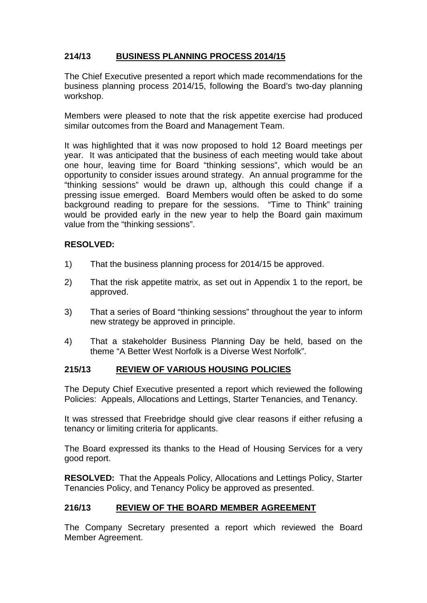# **214/13 BUSINESS PLANNING PROCESS 2014/15**

The Chief Executive presented a report which made recommendations for the business planning process 2014/15, following the Board's two-day planning workshop.

Members were pleased to note that the risk appetite exercise had produced similar outcomes from the Board and Management Team.

It was highlighted that it was now proposed to hold 12 Board meetings per year. It was anticipated that the business of each meeting would take about one hour, leaving time for Board "thinking sessions", which would be an opportunity to consider issues around strategy. An annual programme for the "thinking sessions" would be drawn up, although this could change if a pressing issue emerged. Board Members would often be asked to do some background reading to prepare for the sessions. "Time to Think" training would be provided early in the new year to help the Board gain maximum value from the "thinking sessions".

### **RESOLVED:**

- 1) That the business planning process for 2014/15 be approved.
- 2) That the risk appetite matrix, as set out in Appendix 1 to the report, be approved.
- 3) That a series of Board "thinking sessions" throughout the year to inform new strategy be approved in principle.
- 4) That a stakeholder Business Planning Day be held, based on the theme "A Better West Norfolk is a Diverse West Norfolk".

## **215/13 REVIEW OF VARIOUS HOUSING POLICIES**

The Deputy Chief Executive presented a report which reviewed the following Policies: Appeals, Allocations and Lettings, Starter Tenancies, and Tenancy.

It was stressed that Freebridge should give clear reasons if either refusing a tenancy or limiting criteria for applicants.

The Board expressed its thanks to the Head of Housing Services for a very good report.

**RESOLVED:** That the Appeals Policy, Allocations and Lettings Policy, Starter Tenancies Policy, and Tenancy Policy be approved as presented.

## **216/13 REVIEW OF THE BOARD MEMBER AGREEMENT**

The Company Secretary presented a report which reviewed the Board Member Agreement.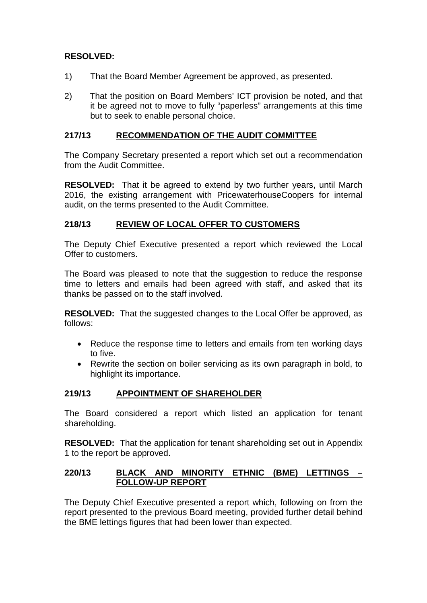## **RESOLVED:**

- 1) That the Board Member Agreement be approved, as presented.
- 2) That the position on Board Members' ICT provision be noted, and that it be agreed not to move to fully "paperless" arrangements at this time but to seek to enable personal choice.

### **217/13 RECOMMENDATION OF THE AUDIT COMMITTEE**

The Company Secretary presented a report which set out a recommendation from the Audit Committee.

**RESOLVED:** That it be agreed to extend by two further years, until March 2016, the existing arrangement with PricewaterhouseCoopers for internal audit, on the terms presented to the Audit Committee.

### **218/13 REVIEW OF LOCAL OFFER TO CUSTOMERS**

The Deputy Chief Executive presented a report which reviewed the Local Offer to customers.

The Board was pleased to note that the suggestion to reduce the response time to letters and emails had been agreed with staff, and asked that its thanks be passed on to the staff involved.

**RESOLVED:** That the suggested changes to the Local Offer be approved, as follows:

- Reduce the response time to letters and emails from ten working days to five.
- Rewrite the section on boiler servicing as its own paragraph in bold, to highlight its importance.

## **219/13 APPOINTMENT OF SHAREHOLDER**

The Board considered a report which listed an application for tenant shareholding.

**RESOLVED:** That the application for tenant shareholding set out in Appendix 1 to the report be approved.

### **220/13 BLACK AND MINORITY ETHNIC (BME) LETTINGS – FOLLOW-UP REPORT**

The Deputy Chief Executive presented a report which, following on from the report presented to the previous Board meeting, provided further detail behind the BME lettings figures that had been lower than expected.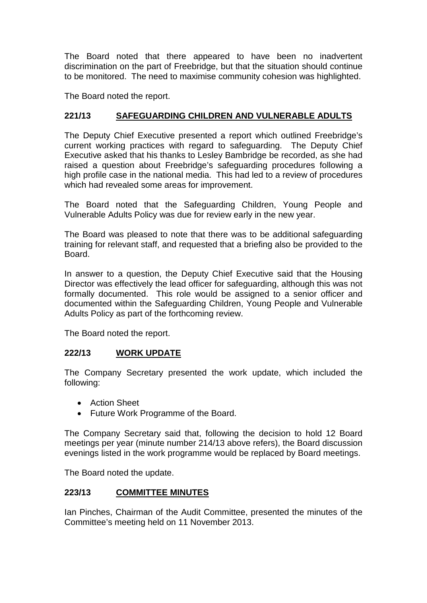The Board noted that there appeared to have been no inadvertent discrimination on the part of Freebridge, but that the situation should continue to be monitored. The need to maximise community cohesion was highlighted.

The Board noted the report.

## **221/13 SAFEGUARDING CHILDREN AND VULNERABLE ADULTS**

The Deputy Chief Executive presented a report which outlined Freebridge's current working practices with regard to safeguarding. The Deputy Chief Executive asked that his thanks to Lesley Bambridge be recorded, as she had raised a question about Freebridge's safeguarding procedures following a high profile case in the national media. This had led to a review of procedures which had revealed some areas for improvement.

The Board noted that the Safeguarding Children, Young People and Vulnerable Adults Policy was due for review early in the new year.

The Board was pleased to note that there was to be additional safeguarding training for relevant staff, and requested that a briefing also be provided to the Board.

In answer to a question, the Deputy Chief Executive said that the Housing Director was effectively the lead officer for safeguarding, although this was not formally documented. This role would be assigned to a senior officer and documented within the Safeguarding Children, Young People and Vulnerable Adults Policy as part of the forthcoming review.

The Board noted the report.

## **222/13 WORK UPDATE**

The Company Secretary presented the work update, which included the following:

- Action Sheet
- Future Work Programme of the Board.

The Company Secretary said that, following the decision to hold 12 Board meetings per year (minute number 214/13 above refers), the Board discussion evenings listed in the work programme would be replaced by Board meetings.

The Board noted the update.

### **223/13 COMMITTEE MINUTES**

Ian Pinches, Chairman of the Audit Committee, presented the minutes of the Committee's meeting held on 11 November 2013.